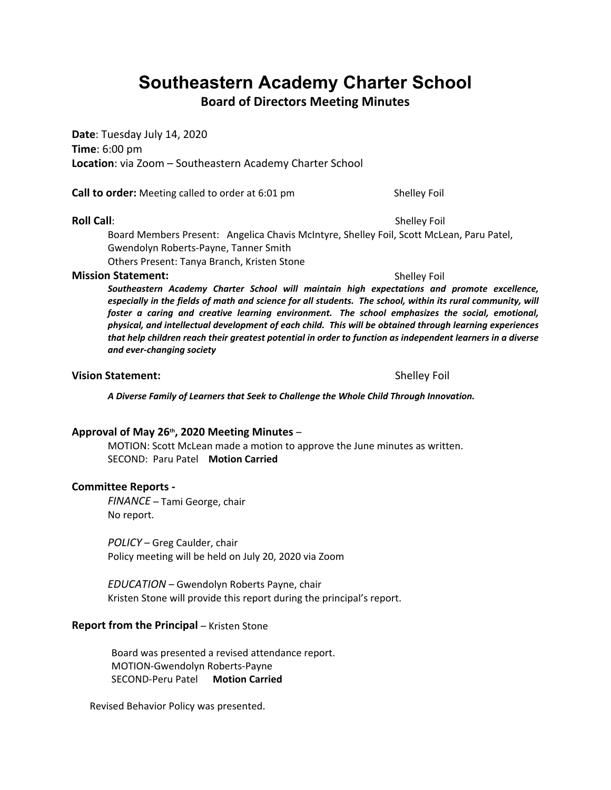# **Southeastern Academy Charter School**

**Board of Directors Meeting Minutes**

**Date**: Tuesday July 14, 2020 **Time**: 6:00 pm **Location**: via Zoom – Southeastern Academy Charter School

**Call to order:** Meeting called to order at 6:01 pm Shelley Foil

#### **Roll Call**: Shelley Foil

Board Members Present: Angelica Chavis McIntyre, Shelley Foil, Scott McLean, Paru Patel, Gwendolyn Roberts-Payne, Tanner Smith Others Present: Tanya Branch, Kristen Stone

#### **Mission Statement:**  $\qquad \qquad$  Shelley Foil

*Southeastern Academy Charter School will maintain high expectations and promote excellence, especially in the fields of math and science for all students. The school, within its rural community, will foster a caring and creative learning environment. The school emphasizes the social, emotional, physical, and intellectual development of each child. This will be obtained through learning experiences that help children reach their greatest potential in order to function as independent learners in a diverse and ever-changing society*

#### **Vision Statement:** Shelley Foil

*A Diverse Family of Learners that Seek to Challenge the Whole Child Through Innovation.*

**Approval of May 26th, 2020 Meeting Minutes** – MOTION: Scott McLean made a motion to approve the June minutes as written. SECOND: Paru Patel **Motion Carried**

#### **Committee Reports -**

*FINANCE* – Tami George, chair No report.

*POLICY* – Greg Caulder, chair Policy meeting will be held on July 20, 2020 via Zoom

*EDUCATION* – Gwendolyn Roberts Payne, chair Kristen Stone will provide this report during the principal's report.

#### **Report from the Principal – Kristen Stone**

 Board was presented a revised attendance report. MOTION-Gwendolyn Roberts-Payne SECOND-Peru Patel **Motion Carried**

Revised Behavior Policy was presented.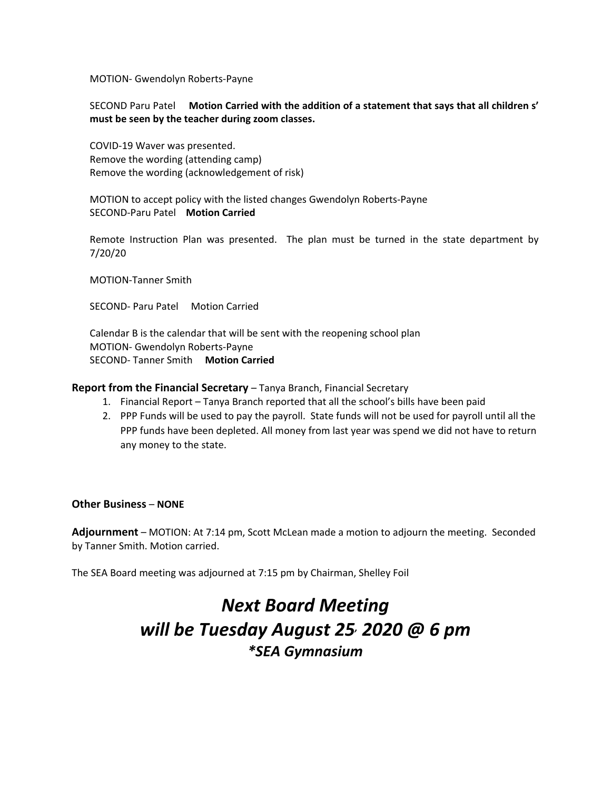MOTION- Gwendolyn Roberts-Payne

#### SECOND Paru Patel **Motion Carried with the addition of a statement that says that all children s' must be seen by the teacher during zoom classes.**

COVID-19 Waver was presented. Remove the wording (attending camp) Remove the wording (acknowledgement of risk)

MOTION to accept policy with the listed changes Gwendolyn Roberts-Payne SECOND-Paru Patel **Motion Carried**

Remote Instruction Plan was presented. The plan must be turned in the state department by 7/20/20

MOTION-Tanner Smith

SECOND- Paru Patel Motion Carried

Calendar B is the calendar that will be sent with the reopening school plan MOTION- Gwendolyn Roberts-Payne SECOND- Tanner Smith **Motion Carried**

#### **Report from the Financial Secretary** – Tanya Branch, Financial Secretary

- 1. Financial Report Tanya Branch reported that all the school's bills have been paid
- 2. PPP Funds will be used to pay the payroll. State funds will not be used for payroll until all the PPP funds have been depleted. All money from last year was spend we did not have to return any money to the state.

#### **Other Business** – **NONE**

**Adjournment** – MOTION: At 7:14 pm, Scott McLean made a motion to adjourn the meeting. Seconded by Tanner Smith. Motion carried.

The SEA Board meeting was adjourned at 7:15 pm by Chairman, Shelley Foil

# *Next Board Meeting will be Tuesday August 25, 2020 @ 6 pm \*SEA Gymnasium*